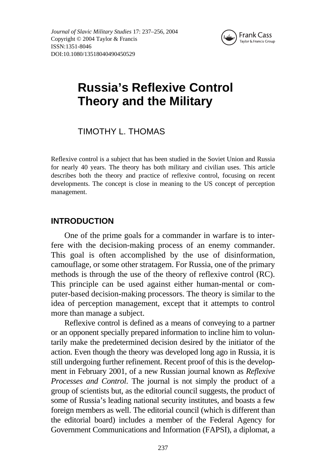

# **Russia's Reflexive Control Theory and the Military**

# TIMOTHY L. THOMAS

Reflexive control is a subject that has been studied in the Soviet Union and Russia for nearly 40 years. The theory has both military and civilian uses. This article describes both the theory and practice of reflexive control, focusing on recent developments. The concept is close in meaning to the US concept of perception management.

# **INTRODUCTION**

One of the prime goals for a commander in warfare is to interfere with the decision-making process of an enemy commander. This goal is often accomplished by the use of disinformation, camouflage, or some other stratagem. For Russia, one of the primary methods is through the use of the theory of reflexive control (RC). This principle can be used against either human-mental or computer-based decision-making processors. The theory is similar to the idea of perception management, except that it attempts to control more than manage a subject.

Reflexive control is defined as a means of conveying to a partner or an opponent specially prepared information to incline him to voluntarily make the predetermined decision desired by the initiator of the action. Even though the theory was developed long ago in Russia, it is still undergoing further refinement. Recent proof of this is the development in February 2001, of a new Russian journal known as *Reflexive Processes and Control*. The journal is not simply the product of a group of scientists but, as the editorial council suggests, the product of some of Russia's leading national security institutes, and boasts a few foreign members as well. The editorial council (which is different than the editorial board) includes a member of the Federal Agency for Government Communications and Information (FAPSI), a diplomat, a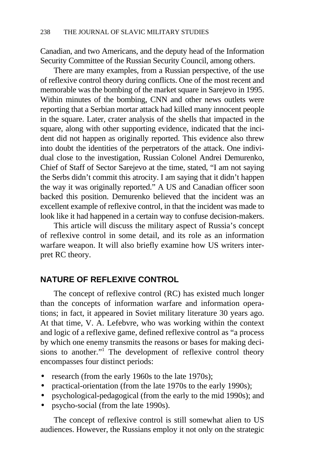Canadian, and two Americans, and the deputy head of the Information Security Committee of the Russian Security Council, among others.

There are many examples, from a Russian perspective, of the use of reflexive control theory during conflicts. One of the most recent and memorable was the bombing of the market square in Sarejevo in 1995. Within minutes of the bombing, CNN and other news outlets were reporting that a Serbian mortar attack had killed many innocent people in the square. Later, crater analysis of the shells that impacted in the square, along with other supporting evidence, indicated that the incident did not happen as originally reported. This evidence also threw into doubt the identities of the perpetrators of the attack. One individual close to the investigation, Russian Colonel Andrei Demurenko, Chief of Staff of Sector Sarejevo at the time, stated, "I am not saying the Serbs didn't commit this atrocity. I am saying that it didn't happen the way it was originally reported." A US and Canadian officer soon backed this position. Demurenko believed that the incident was an excellent example of reflexive control, in that the incident was made to look like it had happened in a certain way to confuse decision-makers.

This article will discuss the military aspect of Russia's concept of reflexive control in some detail, and its role as an information warfare weapon. It will also briefly examine how US writers interpret RC theory.

### **NATURE OF REFLEXIVE CONTROL**

The concept of reflexive control (RC) has existed much longer than the concepts of information warfare and information operations; in fact, it appeared in Soviet military literature 30 years ago. At that time, V. A. Lefebvre, who was working within the context and logic of a reflexive game, defined reflexive control as "a process by which one enemy transmits the reasons or bases for making decisions to another."1 The development of reflexive control theory encompasses four distinct periods:

- research (from the early 1960s to the late 1970s);
- practical-orientation (from the late 1970s to the early 1990s);
- psychological-pedagogical (from the early to the mid 1990s); and
- psycho-social (from the late 1990s).

The concept of reflexive control is still somewhat alien to US audiences. However, the Russians employ it not only on the strategic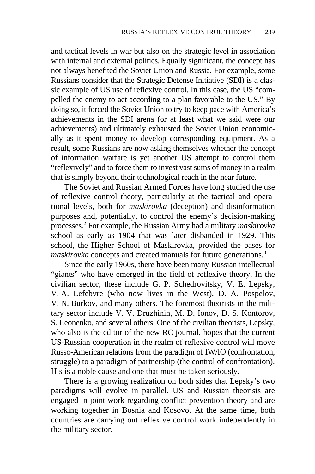and tactical levels in war but also on the strategic level in association with internal and external politics. Equally significant, the concept has not always benefited the Soviet Union and Russia. For example, some Russians consider that the Strategic Defense Initiative (SDI) is a classic example of US use of reflexive control. In this case, the US "compelled the enemy to act according to a plan favorable to the US." By doing so, it forced the Soviet Union to try to keep pace with America's achievements in the SDI arena (or at least what we said were our achievements) and ultimately exhausted the Soviet Union economically as it spent money to develop corresponding equipment. As a result, some Russians are now asking themselves whether the concept of information warfare is yet another US attempt to control them "reflexively" and to force them to invest vast sums of money in a realm that is simply beyond their technological reach in the near future.

The Soviet and Russian Armed Forces have long studied the use of reflexive control theory, particularly at the tactical and operational levels, both for *maskirovka* (deception) and disinformation purposes and, potentially, to control the enemy's decision-making processes.2 For example, the Russian Army had a military *maskirovka* school as early as 1904 that was later disbanded in 1929. This school, the Higher School of Maskirovka, provided the bases for *maskirovka* concepts and created manuals for future generations.<sup>3</sup>

Since the early 1960s, there have been many Russian intellectual "giants" who have emerged in the field of reflexive theory. In the civilian sector, these include G. P. Schedrovitsky, V. E. Lepsky, V. A. Lefebvre (who now lives in the West), D. A. Pospelov, V. N. Burkov, and many others. The foremost theorists in the military sector include V. V. Druzhinin, M. D. Ionov, D. S. Kontorov, S. Leonenko, and several others. One of the civilian theorists, Lepsky, who also is the editor of the new RC journal, hopes that the current US-Russian cooperation in the realm of reflexive control will move Russo-American relations from the paradigm of IW/IO (confrontation, struggle) to a paradigm of partnership (the control of confrontation). His is a noble cause and one that must be taken seriously.

There is a growing realization on both sides that Lepsky's two paradigms will evolve in parallel. US and Russian theorists are engaged in joint work regarding conflict prevention theory and are working together in Bosnia and Kosovo. At the same time, both countries are carrying out reflexive control work independently in the military sector.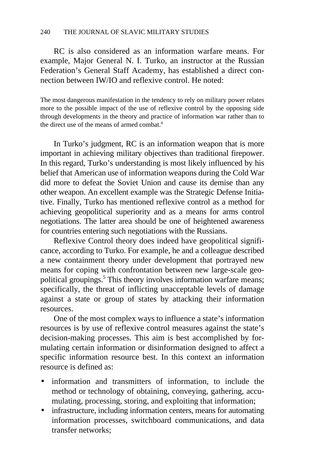RC is also considered as an information warfare means. For example, Major General N. I. Turko, an instructor at the Russian Federation's General Staff Academy, has established a direct connection between IW/IO and reflexive control. He noted:

The most dangerous manifestation in the tendency to rely on military power relates more to the possible impact of the use of reflexive control by the opposing side through developments in the theory and practice of information war rather than to the direct use of the means of armed combat.<sup>4</sup>

In Turko's judgment, RC is an information weapon that is more important in achieving military objectives than traditional firepower. In this regard, Turko's understanding is most likely influenced by his belief that American use of information weapons during the Cold War did more to defeat the Soviet Union and cause its demise than any other weapon. An excellent example was the Strategic Defense Initiative. Finally, Turko has mentioned reflexive control as a method for achieving geopolitical superiority and as a means for arms control negotiations. The latter area should be one of heightened awareness for countries entering such negotiations with the Russians.

Reflexive Control theory does indeed have geopolitical significance, according to Turko. For example, he and a colleague described a new containment theory under development that portrayed new means for coping with confrontation between new large-scale geopolitical groupings.<sup>5</sup> This theory involves information warfare means; specifically, the threat of inflicting unacceptable levels of damage against a state or group of states by attacking their information resources.

One of the most complex ways to influence a state's information resources is by use of reflexive control measures against the state's decision-making processes. This aim is best accomplished by formulating certain information or disinformation designed to affect a specific information resource best. In this context an information resource is defined as:

- information and transmitters of information, to include the method or technology of obtaining, conveying, gathering, accumulating, processing, storing, and exploiting that information;
- infrastructure, including information centers, means for automating information processes, switchboard communications, and data transfer networks;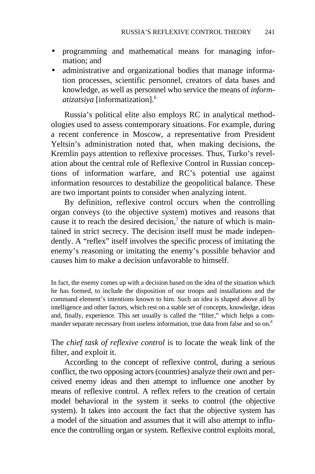- programming and mathematical means for managing information; and
- administrative and organizational bodies that manage information processes, scientific personnel, creators of data bases and knowledge, as well as personnel who service the means of *informatizatsiya* [informatization].6

Russia's political elite also employs RC in analytical methodologies used to assess contemporary situations. For example, during a recent conference in Moscow, a representative from President Yeltsin's administration noted that, when making decisions, the Kremlin pays attention to reflexive processes. Thus, Turko's revelation about the central role of Reflexive Control in Russian conceptions of information warfare, and RC's potential use against information resources to destabilize the geopolitical balance. These are two important points to consider when analyzing intent.

By definition, reflexive control occurs when the controlling organ conveys (to the objective system) motives and reasons that cause it to reach the desired decision,<sup>7</sup> the nature of which is maintained in strict secrecy. The decision itself must be made independently. A "reflex" itself involves the specific process of imitating the enemy's reasoning or imitating the enemy's possible behavior and causes him to make a decision unfavorable to himself.

In fact, the enemy comes up with a decision based on the idea of the situation which he has formed, to include the disposition of our troops and installations and the command element's intentions known to him. Such an idea is shaped above all by intelligence and other factors, which rest on a stable set of concepts, knowledge, ideas and, finally, experience. This set usually is called the "filter," which helps a commander separate necessary from useless information, true data from false and so on.<sup>8</sup>

The *chief task of reflexive control* is to locate the weak link of the filter, and exploit it.

According to the concept of reflexive control, during a serious conflict, the two opposing actors (countries) analyze their own and perceived enemy ideas and then attempt to influence one another by means of reflexive control. A reflex refers to the creation of certain model behavioral in the system it seeks to control (the objective system). It takes into account the fact that the objective system has a model of the situation and assumes that it will also attempt to influence the controlling organ or system. Reflexive control exploits moral,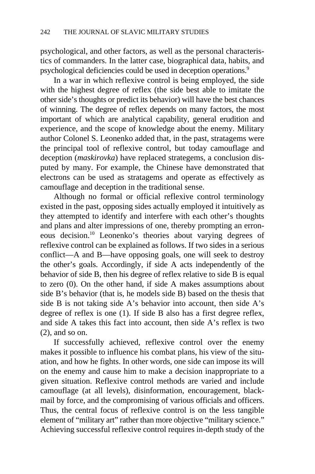psychological, and other factors, as well as the personal characteristics of commanders. In the latter case, biographical data, habits, and psychological deficiencies could be used in deception operations.9

In a war in which reflexive control is being employed, the side with the highest degree of reflex (the side best able to imitate the other side's thoughts or predict its behavior) will have the best chances of winning. The degree of reflex depends on many factors, the most important of which are analytical capability, general erudition and experience, and the scope of knowledge about the enemy. Military author Colonel S. Leonenko added that, in the past, stratagems were the principal tool of reflexive control, but today camouflage and deception (*maskirovka*) have replaced strategems, a conclusion disputed by many. For example, the Chinese have demonstrated that electrons can be used as stratagems and operate as effectively as camouflage and deception in the traditional sense.

Although no formal or official reflexive control terminology existed in the past, opposing sides actually employed it intuitively as they attempted to identify and interfere with each other's thoughts and plans and alter impressions of one, thereby prompting an erroneous decision.10 Leonenko's theories about varying degrees of reflexive control can be explained as follows. If two sides in a serious conflict—A and B—have opposing goals, one will seek to destroy the other's goals. Accordingly, if side A acts independently of the behavior of side B, then his degree of reflex relative to side B is equal to zero (0). On the other hand, if side A makes assumptions about side B's behavior (that is, he models side B) based on the thesis that side B is not taking side A's behavior into account, then side A's degree of reflex is one (1). If side B also has a first degree reflex, and side A takes this fact into account, then side A's reflex is two (2), and so on.

If successfully achieved, reflexive control over the enemy makes it possible to influence his combat plans, his view of the situation, and how he fights. In other words, one side can impose its will on the enemy and cause him to make a decision inappropriate to a given situation. Reflexive control methods are varied and include camouflage (at all levels), disinformation, encouragement, blackmail by force, and the compromising of various officials and officers. Thus, the central focus of reflexive control is on the less tangible element of "military art" rather than more objective "military science." Achieving successful reflexive control requires in-depth study of the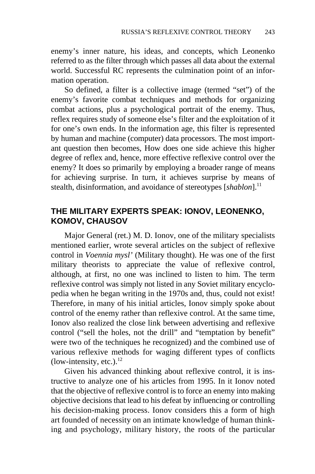enemy's inner nature, his ideas, and concepts, which Leonenko referred to as the filter through which passes all data about the external world. Successful RC represents the culmination point of an information operation.

So defined, a filter is a collective image (termed "set") of the enemy's favorite combat techniques and methods for organizing combat actions, plus a psychological portrait of the enemy. Thus, reflex requires study of someone else's filter and the exploitation of it for one's own ends. In the information age, this filter is represented by human and machine (computer) data processors. The most important question then becomes, How does one side achieve this higher degree of reflex and, hence, more effective reflexive control over the enemy? It does so primarily by employing a broader range of means for achieving surprise. In turn, it achieves surprise by means of stealth, disinformation, and avoidance of stereotypes [*shablon*].<sup>11</sup>

### **THE MILITARY EXPERTS SPEAK: IONOV, LEONENKO, KOMOV, CHAUSOV**

Major General (ret.) M. D. Ionov, one of the military specialists mentioned earlier, wrote several articles on the subject of reflexive control in *Voennia mysl'* (Military thought). He was one of the first military theorists to appreciate the value of reflexive control, although, at first, no one was inclined to listen to him. The term reflexive control was simply not listed in any Soviet military encyclopedia when he began writing in the 1970s and, thus, could not exist! Therefore, in many of his initial articles, Ionov simply spoke about control of the enemy rather than reflexive control. At the same time, Ionov also realized the close link between advertising and reflexive control ("sell the holes, not the drill" and "temptation by benefit" were two of the techniques he recognized) and the combined use of various reflexive methods for waging different types of conflicts (low-intensity, etc.). $^{12}$ 

Given his advanced thinking about reflexive control, it is instructive to analyze one of his articles from 1995. In it Ionov noted that the objective of reflexive control is to force an enemy into making objective decisions that lead to his defeat by influencing or controlling his decision-making process. Ionov considers this a form of high art founded of necessity on an intimate knowledge of human thinking and psychology, military history, the roots of the particular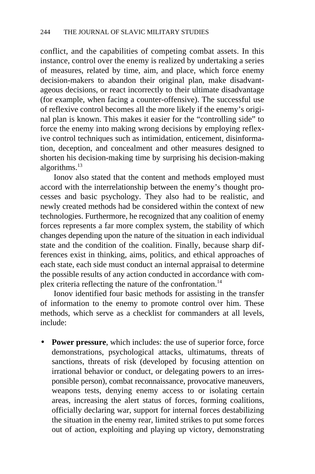conflict, and the capabilities of competing combat assets. In this instance, control over the enemy is realized by undertaking a series of measures, related by time, aim, and place, which force enemy decision-makers to abandon their original plan, make disadvantageous decisions, or react incorrectly to their ultimate disadvantage (for example, when facing a counter-offensive). The successful use of reflexive control becomes all the more likely if the enemy's original plan is known. This makes it easier for the "controlling side" to force the enemy into making wrong decisions by employing reflexive control techniques such as intimidation, enticement, disinformation, deception, and concealment and other measures designed to shorten his decision-making time by surprising his decision-making algorithms.<sup>13</sup>

Ionov also stated that the content and methods employed must accord with the interrelationship between the enemy's thought processes and basic psychology. They also had to be realistic, and newly created methods had be considered within the context of new technologies. Furthermore, he recognized that any coalition of enemy forces represents a far more complex system, the stability of which changes depending upon the nature of the situation in each individual state and the condition of the coalition. Finally, because sharp differences exist in thinking, aims, politics, and ethical approaches of each state, each side must conduct an internal appraisal to determine the possible results of any action conducted in accordance with complex criteria reflecting the nature of the confrontation.14

Ionov identified four basic methods for assisting in the transfer of information to the enemy to promote control over him. These methods, which serve as a checklist for commanders at all levels, include:

• **Power pressure**, which includes: the use of superior force, force demonstrations, psychological attacks, ultimatums, threats of sanctions, threats of risk (developed by focusing attention on irrational behavior or conduct, or delegating powers to an irresponsible person), combat reconnaissance, provocative maneuvers, weapons tests, denying enemy access to or isolating certain areas, increasing the alert status of forces, forming coalitions, officially declaring war, support for internal forces destabilizing the situation in the enemy rear, limited strikes to put some forces out of action, exploiting and playing up victory, demonstrating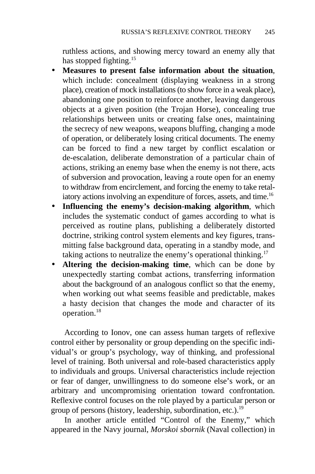ruthless actions, and showing mercy toward an enemy ally that has stopped fighting.<sup>15</sup>

- **Measures to present false information about the situation**, which include: concealment (displaying weakness in a strong place), creation of mock installations (to show force in a weak place), abandoning one position to reinforce another, leaving dangerous objects at a given position (the Trojan Horse), concealing true relationships between units or creating false ones, maintaining the secrecy of new weapons, weapons bluffing, changing a mode of operation, or deliberately losing critical documents. The enemy can be forced to find a new target by conflict escalation or de-escalation, deliberate demonstration of a particular chain of actions, striking an enemy base when the enemy is not there, acts of subversion and provocation, leaving a route open for an enemy to withdraw from encirclement, and forcing the enemy to take retaliatory actions involving an expenditure of forces, assets, and time.<sup>16</sup>
- **Influencing the enemy's decision-making algorithm**, which includes the systematic conduct of games according to what is perceived as routine plans, publishing a deliberately distorted doctrine, striking control system elements and key figures, transmitting false background data, operating in a standby mode, and taking actions to neutralize the enemy's operational thinking.17
- **Altering the decision-making time**, which can be done by unexpectedly starting combat actions, transferring information about the background of an analogous conflict so that the enemy, when working out what seems feasible and predictable, makes a hasty decision that changes the mode and character of its operation.18

According to Ionov, one can assess human targets of reflexive control either by personality or group depending on the specific individual's or group's psychology, way of thinking, and professional level of training. Both universal and role-based characteristics apply to individuals and groups. Universal characteristics include rejection or fear of danger, unwillingness to do someone else's work, or an arbitrary and uncompromising orientation toward confrontation. Reflexive control focuses on the role played by a particular person or group of persons (history, leadership, subordination, etc.).<sup>19</sup>

In another article entitled "Control of the Enemy," which appeared in the Navy journal, *Morskoi sbornik* (Naval collection) in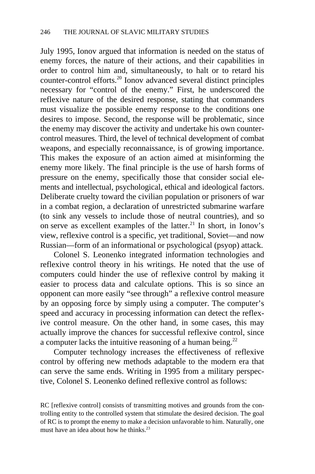July 1995, Ionov argued that information is needed on the status of enemy forces, the nature of their actions, and their capabilities in order to control him and, simultaneously, to halt or to retard his counter-control efforts.20 Ionov advanced several distinct principles necessary for "control of the enemy." First, he underscored the reflexive nature of the desired response, stating that commanders must visualize the possible enemy response to the conditions one desires to impose. Second, the response will be problematic, since the enemy may discover the activity and undertake his own countercontrol measures. Third, the level of technical development of combat weapons, and especially reconnaissance, is of growing importance. This makes the exposure of an action aimed at misinforming the enemy more likely. The final principle is the use of harsh forms of pressure on the enemy, specifically those that consider social elements and intellectual, psychological, ethical and ideological factors. Deliberate cruelty toward the civilian population or prisoners of war in a combat region, a declaration of unrestricted submarine warfare (to sink any vessels to include those of neutral countries), and so on serve as excellent examples of the latter.<sup>21</sup> In short, in Ionov's view, reflexive control is a specific, yet traditional, Soviet—and now Russian—form of an informational or psychological (psyop) attack.

Colonel S. Leonenko integrated information technologies and reflexive control theory in his writings. He noted that the use of computers could hinder the use of reflexive control by making it easier to process data and calculate options. This is so since an opponent can more easily "see through" a reflexive control measure by an opposing force by simply using a computer. The computer's speed and accuracy in processing information can detect the reflexive control measure. On the other hand, in some cases, this may actually improve the chances for successful reflexive control, since a computer lacks the intuitive reasoning of a human being.<sup>22</sup>

Computer technology increases the effectiveness of reflexive control by offering new methods adaptable to the modern era that can serve the same ends. Writing in 1995 from a military perspective, Colonel S. Leonenko defined reflexive control as follows:

RC [reflexive control] consists of transmitting motives and grounds from the controlling entity to the controlled system that stimulate the desired decision. The goal of RC is to prompt the enemy to make a decision unfavorable to him. Naturally, one must have an idea about how he thinks. $^{23}$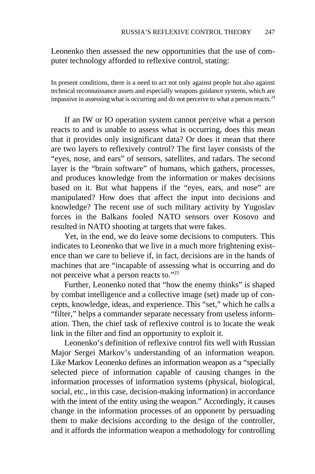Leonenko then assessed the new opportunities that the use of computer technology afforded to reflexive control, stating:

In present conditions, there is a need to act not only against people but also against technical reconnaissance assets and especially weapons guidance systems, which are impassive in assessing what is occurring and do not perceive to what a person reacts.<sup>24</sup>

If an IW or IO operation system cannot perceive what a person reacts to and is unable to assess what is occurring, does this mean that it provides only insignificant data? Or does it mean that there are two layers to reflexively control? The first layer consists of the "eyes, nose, and ears" of sensors, satellites, and radars. The second layer is the "brain software" of humans, which gathers, processes, and produces knowledge from the information or makes decisions based on it. But what happens if the "eyes, ears, and nose" are manipulated? How does that affect the input into decisions and knowledge? The recent use of such military activity by Yugoslav forces in the Balkans fooled NATO sensors over Kosovo and resulted in NATO shooting at targets that were fakes.

Yet, in the end, we do leave some decisions to computers. This indicates to Leonenko that we live in a much more frightening existence than we care to believe if, in fact, decisions are in the hands of machines that are "incapable of assessing what is occurring and do not perceive what a person reacts to."25

Further, Leonenko noted that "how the enemy thinks" is shaped by combat intelligence and a collective image (set) made up of concepts, knowledge, ideas, and experience. This "set," which he calls a "filter," helps a commander separate necessary from useless information. Then, the chief task of reflexive control is to locate the weak link in the filter and find an opportunity to exploit it.

Leonenko's definition of reflexive control fits well with Russian Major Sergei Markov's understanding of an information weapon. Like Markov Leonenko defines an information weapon as a "specially selected piece of information capable of causing changes in the information processes of information systems (physical, biological, social, etc., in this case, decision-making information) in accordance with the intent of the entity using the weapon." Accordingly, it causes change in the information processes of an opponent by persuading them to make decisions according to the design of the controller, and it affords the information weapon a methodology for controlling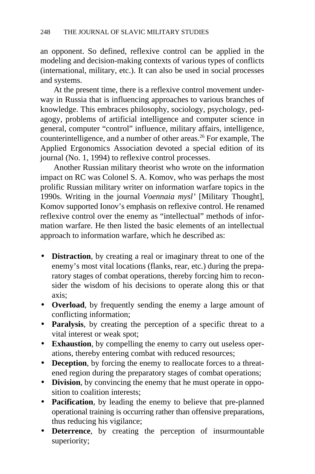an opponent. So defined, reflexive control can be applied in the modeling and decision-making contexts of various types of conflicts (international, military, etc.). It can also be used in social processes and systems.

At the present time, there is a reflexive control movement underway in Russia that is influencing approaches to various branches of knowledge. This embraces philosophy, sociology, psychology, pedagogy, problems of artificial intelligence and computer science in general, computer "control" influence, military affairs, intelligence, counterintelligence, and a number of other areas.<sup>26</sup> For example, The Applied Ergonomics Association devoted a special edition of its journal (No. 1, 1994) to reflexive control processes.

Another Russian military theorist who wrote on the information impact on RC was Colonel S. A. Komov, who was perhaps the most prolific Russian military writer on information warfare topics in the 1990s. Writing in the journal *Voennaia mysl'* [Military Thought], Komov supported Ionov's emphasis on reflexive control. He renamed reflexive control over the enemy as "intellectual" methods of information warfare. He then listed the basic elements of an intellectual approach to information warfare, which he described as:

- **Distraction**, by creating a real or imaginary threat to one of the enemy's most vital locations (flanks, rear, etc.) during the preparatory stages of combat operations, thereby forcing him to reconsider the wisdom of his decisions to operate along this or that axis;
- **Overload**, by frequently sending the enemy a large amount of conflicting information;
- **Paralysis**, by creating the perception of a specific threat to a vital interest or weak spot;
- **Exhaustion**, by compelling the enemy to carry out useless operations, thereby entering combat with reduced resources;
- **Deception**, by forcing the enemy to reallocate forces to a threatened region during the preparatory stages of combat operations;
- **Division**, by convincing the enemy that he must operate in opposition to coalition interests;
- **Pacification**, by leading the enemy to believe that pre-planned operational training is occurring rather than offensive preparations, thus reducing his vigilance;
- **Deterrence**, by creating the perception of insurmountable superiority;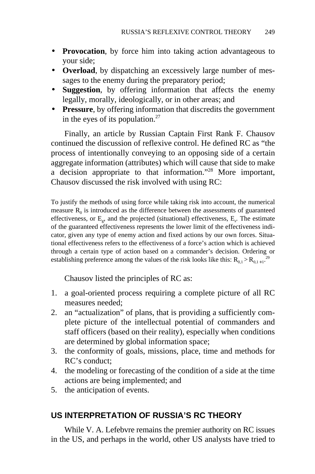- **Provocation**, by force him into taking action advantageous to your side;
- **Overload**, by dispatching an excessively large number of messages to the enemy during the preparatory period;
- **Suggestion**, by offering information that affects the enemy legally, morally, ideologically, or in other areas; and
- **Pressure**, by offering information that discredits the government in the eyes of its population. $27$

Finally, an article by Russian Captain First Rank F. Chausov continued the discussion of reflexive control. He defined RC as "the process of intentionally conveying to an opposing side of a certain aggregate information (attributes) which will cause that side to make a decision appropriate to that information."28 More important, Chausov discussed the risk involved with using RC:

To justify the methods of using force while taking risk into account, the numerical measure  $R_0$  is introduced as the difference between the assessments of guaranteed effectiveness, or  $E_{g}$ , and the projected (situational) effectiveness,  $E_{s}$ . The estimate of the guaranteed effectiveness represents the lower limit of the effectiveness indicator, given any type of enemy action and fixed actions by our own forces. Situational effectiveness refers to the effectiveness of a force's action which is achieved through a certain type of action based on a commander's decision. Ordering or establishing preference among the values of the risk looks like this:  $R_{0,1} > R_{0,1+1}$ .<sup>29</sup>

Chausov listed the principles of RC as:

- 1. a goal-oriented process requiring a complete picture of all RC measures needed;
- 2. an "actualization" of plans, that is providing a sufficiently complete picture of the intellectual potential of commanders and staff officers (based on their reality), especially when conditions are determined by global information space;
- 3. the conformity of goals, missions, place, time and methods for RC's conduct;
- 4. the modeling or forecasting of the condition of a side at the time actions are being implemented; and
- 5. the anticipation of events.

#### **US INTERPRETATION OF RUSSIA'S RC THEORY**

While V. A. Lefebvre remains the premier authority on RC issues in the US, and perhaps in the world, other US analysts have tried to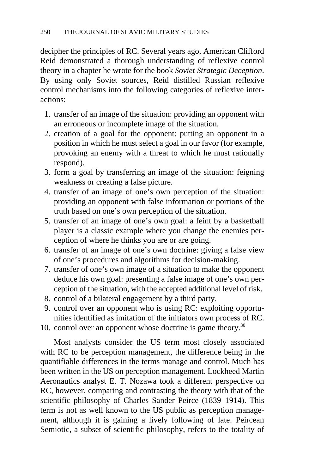decipher the principles of RC. Several years ago, American Clifford Reid demonstrated a thorough understanding of reflexive control theory in a chapter he wrote for the book *Soviet Strategic Deception*. By using only Soviet sources, Reid distilled Russian reflexive control mechanisms into the following categories of reflexive interactions:

- 1. transfer of an image of the situation: providing an opponent with an erroneous or incomplete image of the situation.
- 2. creation of a goal for the opponent: putting an opponent in a position in which he must select a goal in our favor (for example, provoking an enemy with a threat to which he must rationally respond).
- 3. form a goal by transferring an image of the situation: feigning weakness or creating a false picture.
- 4. transfer of an image of one's own perception of the situation: providing an opponent with false information or portions of the truth based on one's own perception of the situation.
- 5. transfer of an image of one's own goal: a feint by a basketball player is a classic example where you change the enemies perception of where he thinks you are or are going.
- 6. transfer of an image of one's own doctrine: giving a false view of one's procedures and algorithms for decision-making.
- 7. transfer of one's own image of a situation to make the opponent deduce his own goal: presenting a false image of one's own perception of the situation, with the accepted additional level of risk.
- 8. control of a bilateral engagement by a third party.
- 9. control over an opponent who is using RC: exploiting opportunities identified as imitation of the initiators own process of RC.
- 10. control over an opponent whose doctrine is game theory. $30$

Most analysts consider the US term most closely associated with RC to be perception management, the difference being in the quantifiable differences in the terms manage and control. Much has been written in the US on perception management. Lockheed Martin Aeronautics analyst E. T. Nozawa took a different perspective on RC, however, comparing and contrasting the theory with that of the scientific philosophy of Charles Sander Peirce (1839–1914). This term is not as well known to the US public as perception management, although it is gaining a lively following of late. Peircean Semiotic, a subset of scientific philosophy, refers to the totality of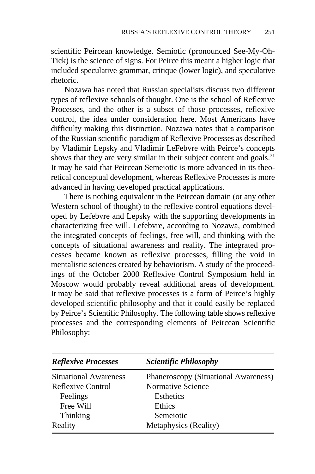scientific Peircean knowledge. Semiotic (pronounced See-My-Oh-Tick) is the science of signs. For Peirce this meant a higher logic that included speculative grammar, critique (lower logic), and speculative rhetoric.

Nozawa has noted that Russian specialists discuss two different types of reflexive schools of thought. One is the school of Reflexive Processes, and the other is a subset of those processes, reflexive control, the idea under consideration here. Most Americans have difficulty making this distinction. Nozawa notes that a comparison of the Russian scientific paradigm of Reflexive Processes as described by Vladimir Lepsky and Vladimir LeFebvre with Peirce's concepts shows that they are very similar in their subject content and goals.<sup>31</sup> It may be said that Peircean Semeiotic is more advanced in its theoretical conceptual development, whereas Reflexive Processes is more advanced in having developed practical applications.

There is nothing equivalent in the Peircean domain (or any other Western school of thought) to the reflexive control equations developed by Lefebvre and Lepsky with the supporting developments in characterizing free will. Lefebvre, according to Nozawa, combined the integrated concepts of feelings, free will, and thinking with the concepts of situational awareness and reality. The integrated processes became known as reflexive processes, filling the void in mentalistic sciences created by behaviorism. A study of the proceedings of the October 2000 Reflexive Control Symposium held in Moscow would probably reveal additional areas of development. It may be said that reflexive processes is a form of Peirce's highly developed scientific philosophy and that it could easily be replaced by Peirce's Scientific Philosophy. The following table shows reflexive processes and the corresponding elements of Peircean Scientific Philosophy:

| <b>Reflexive Processes</b>   | <b>Scientific Philosophy</b>         |
|------------------------------|--------------------------------------|
| <b>Situational Awareness</b> | Phaneroscopy (Situational Awareness) |
| Reflexive Control            | Normative Science                    |
| Feelings                     | <b>Esthetics</b>                     |
| Free Will                    | Ethics                               |
| Thinking                     | Semeiotic                            |
| Reality                      | Metaphysics (Reality)                |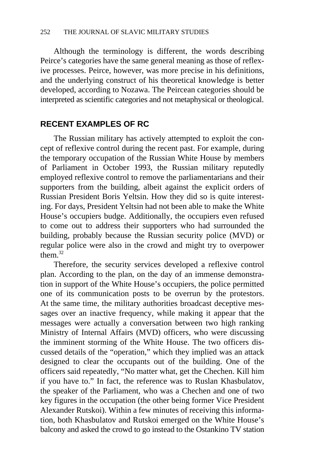Although the terminology is different, the words describing Peirce's categories have the same general meaning as those of reflexive processes. Peirce, however, was more precise in his definitions, and the underlying construct of his theoretical knowledge is better developed, according to Nozawa. The Peircean categories should be interpreted as scientific categories and not metaphysical or theological.

#### **RECENT EXAMPLES OF RC**

The Russian military has actively attempted to exploit the concept of reflexive control during the recent past. For example, during the temporary occupation of the Russian White House by members of Parliament in October 1993, the Russian military reputedly employed reflexive control to remove the parliamentarians and their supporters from the building, albeit against the explicit orders of Russian President Boris Yeltsin. How they did so is quite interesting. For days, President Yeltsin had not been able to make the White House's occupiers budge. Additionally, the occupiers even refused to come out to address their supporters who had surrounded the building, probably because the Russian security police (MVD) or regular police were also in the crowd and might try to overpower them  $32$ 

Therefore, the security services developed a reflexive control plan. According to the plan, on the day of an immense demonstration in support of the White House's occupiers, the police permitted one of its communication posts to be overrun by the protestors. At the same time, the military authorities broadcast deceptive messages over an inactive frequency, while making it appear that the messages were actually a conversation between two high ranking Ministry of Internal Affairs (MVD) officers, who were discussing the imminent storming of the White House. The two officers discussed details of the "operation," which they implied was an attack designed to clear the occupants out of the building. One of the officers said repeatedly, "No matter what, get the Chechen. Kill him if you have to." In fact, the reference was to Ruslan Khasbulatov, the speaker of the Parliament, who was a Chechen and one of two key figures in the occupation (the other being former Vice President Alexander Rutskoi). Within a few minutes of receiving this information, both Khasbulatov and Rutskoi emerged on the White House's balcony and asked the crowd to go instead to the Ostankino TV station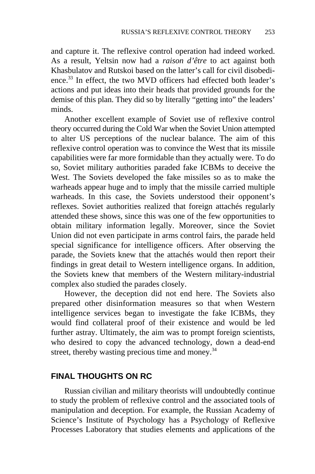and capture it. The reflexive control operation had indeed worked. As a result, Yeltsin now had a *raison d'être* to act against both Khasbulatov and Rutskoi based on the latter's call for civil disobedience.33 In effect, the two MVD officers had effected both leader's actions and put ideas into their heads that provided grounds for the demise of this plan. They did so by literally "getting into" the leaders' minds.

Another excellent example of Soviet use of reflexive control theory occurred during the Cold War when the Soviet Union attempted to alter US perceptions of the nuclear balance. The aim of this reflexive control operation was to convince the West that its missile capabilities were far more formidable than they actually were. To do so, Soviet military authorities paraded fake ICBMs to deceive the West. The Soviets developed the fake missiles so as to make the warheads appear huge and to imply that the missile carried multiple warheads. In this case, the Soviets understood their opponent's reflexes. Soviet authorities realized that foreign attachés regularly attended these shows, since this was one of the few opportunities to obtain military information legally. Moreover, since the Soviet Union did not even participate in arms control fairs, the parade held special significance for intelligence officers. After observing the parade, the Soviets knew that the attachés would then report their findings in great detail to Western intelligence organs. In addition, the Soviets knew that members of the Western military-industrial complex also studied the parades closely.

However, the deception did not end here. The Soviets also prepared other disinformation measures so that when Western intelligence services began to investigate the fake ICBMs, they would find collateral proof of their existence and would be led further astray. Ultimately, the aim was to prompt foreign scientists, who desired to copy the advanced technology, down a dead-end street, thereby wasting precious time and money. $34$ 

#### **FINAL THOUGHTS ON RC**

Russian civilian and military theorists will undoubtedly continue to study the problem of reflexive control and the associated tools of manipulation and deception. For example, the Russian Academy of Science's Institute of Psychology has a Psychology of Reflexive Processes Laboratory that studies elements and applications of the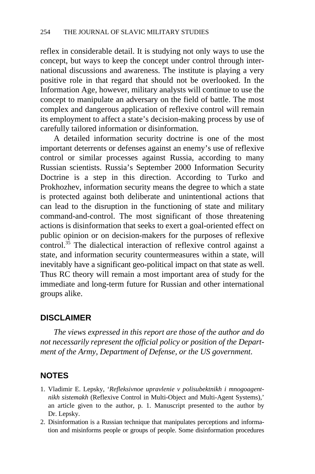reflex in considerable detail. It is studying not only ways to use the concept, but ways to keep the concept under control through international discussions and awareness. The institute is playing a very positive role in that regard that should not be overlooked. In the Information Age, however, military analysts will continue to use the concept to manipulate an adversary on the field of battle. The most complex and dangerous application of reflexive control will remain its employment to affect a state's decision-making process by use of carefully tailored information or disinformation.

A detailed information security doctrine is one of the most important deterrents or defenses against an enemy's use of reflexive control or similar processes against Russia, according to many Russian scientists. Russia's September 2000 Information Security Doctrine is a step in this direction. According to Turko and Prokhozhev, information security means the degree to which a state is protected against both deliberate and unintentional actions that can lead to the disruption in the functioning of state and military command-and-control. The most significant of those threatening actions is disinformation that seeks to exert a goal-oriented effect on public opinion or on decision-makers for the purposes of reflexive control.<sup>35</sup> The dialectical interaction of reflexive control against a state, and information security countermeasures within a state, will inevitably have a significant geo-political impact on that state as well. Thus RC theory will remain a most important area of study for the immediate and long-term future for Russian and other international groups alike.

#### **DISCLAIMER**

*The views expressed in this report are those of the author and do not necessarily represent the official policy or position of the Department of the Army, Department of Defense, or the US government*.

# **NOTES**

- 1. Vladimir E. Lepsky, '*Refleksivnoe upravlenie v polisubektnikh i mnogoagentnikh sistemakh* (Reflexive Control in Multi-Object and Multi-Agent Systems),' an article given to the author, p. 1. Manuscript presented to the author by Dr. Lepsky.
- 2. Disinformation is a Russian technique that manipulates perceptions and information and misinforms people or groups of people. Some disinformation procedures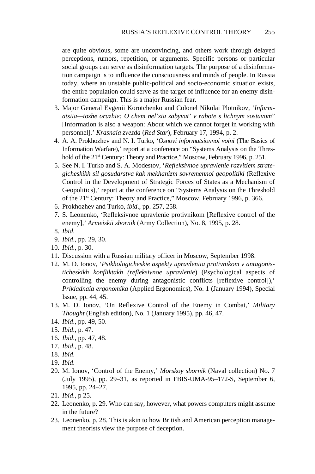are quite obvious, some are unconvincing, and others work through delayed perceptions, rumors, repetition, or arguments. Specific persons or particular social groups can serve as disinformation targets. The purpose of a disinformation campaign is to influence the consciousness and minds of people. In Russia today, where an unstable public-political and socio-economic situation exists, the entire population could serve as the target of influence for an enemy disinformation campaign. This is a major Russian fear.

- 3. Major General Evgenii Korotchenko and Colonel Nikolai Plotnikov, '*Informatsiia—tozhe oruzhie: O chem nel'zia zabyvat' v rabote s lichnym sostavom*" [Information is also a weapon: About which we cannot forget in working with personnel].' *Krasnaia zvezda* (*Red Star*), February 17, 1994, p. 2.
- 4. A. A. Prokhozhev and N. I. Turko, '*Osnovi informatsionnoi voini* (The Basics of Information Warfare),' report at a conference on "Systems Analysis on the Threshold of the 21<sup>st</sup> Century: Theory and Practice," Moscow, February 1996, p. 251.
- 5. See N. I. Turko and S. A. Modestov, '*Refleksivnoe upravlenie razvitiem strategicheskikh sil gosudarstva kak mekhanizm sovremennoi geopolitiki* (Reflexive Control in the Development of Strategic Forces of States as a Mechanism of Geopolitics),' report at the conference on "Systems Analysis on the Threshold of the 21<sup>st</sup> Century: Theory and Practice," Moscow, February 1996, p. 366.
- 6. Prokhozhev and Turko, *ibid*., pp. 257, 258.
- 7. S. Leonenko, 'Refleksivnoe upravlenie protivnikom [Reflexive control of the enemy],' *Armeiskii sbornik* (Army Collection), No. 8, 1995, p. 28.
- 8. *Ibid*.
- 9. *Ibid*., pp. 29, 30.
- 10. *Ibid*., p. 30.
- 11. Discussion with a Russian military officer in Moscow, September 1998.
- 12. M. D. Ionov, '*Psikhologicheskie aspekty upravleniia protivnikom v antagonisticheskikh konfliktakh (refleksivnoe upravlenie*) (Psychological aspects of controlling the enemy during antagonistic conflicts [reflexive control]),' *Prikladnaia ergonomika* (Applied Ergonomics), No. 1 (January 1994), Special Issue, pp. 44, 45.
- 13. M. D. Ionov, 'On Reflexive Control of the Enemy in Combat,' *Military Thought* (English edition), No. 1 (January 1995), pp. 46, 47.
- 14. *Ibid*., pp. 49, 50.
- 15. *Ibid*., p. 47.
- 16. *Ibid*., pp. 47, 48.
- 17. *Ibid*., p. 48.
- 18. *Ibid*.
- 19. *Ibid*.
- 20. M. Ionov, 'Control of the Enemy,' *Morskoy sbornik* (Naval collection) No. 7 (July 1995), pp. 29–31, as reported in FBIS-UMA-95–172-S, September 6, 1995, pp. 24–27.
- 21. *Ibid*., p 25.
- 22. Leonenko, p. 29. Who can say, however, what powers computers might assume in the future?
- 23. Leonenko, p. 28. This is akin to how British and American perception management theorists view the purpose of deception.